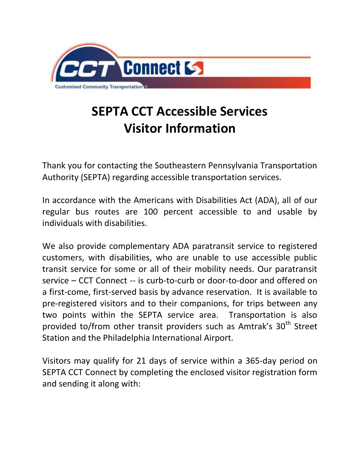

## **SEPTA CCT Accessible Services Visitor Information**

Thank you for contacting the Southeastern Pennsylvania Transportation Authority (SEPTA) regarding accessible transportation services.

In accordance with the Americans with Disabilities Act (ADA), all of our regular bus routes are 100 percent accessible to and usable by individuals with disabilities.

We also provide complementary ADA paratransit service to registered customers, with disabilities, who are unable to use accessible public transit service for some or all of their mobility needs. Our paratransit service – CCT Connect -- is curb-to-curb or door-to-door and offered on a first-come, first-served basis by advance reservation. It is available to pre-registered visitors and to their companions, for trips between any two points within the SEPTA service area. Transportation is also provided to/from other transit providers such as Amtrak's 30<sup>th</sup> Street Station and the Philadelphia International Airport.

Visitors may qualify for 21 days of service within a 365-day period on SEPTA CCT Connect by completing the enclosed visitor registration form and sending it along with: